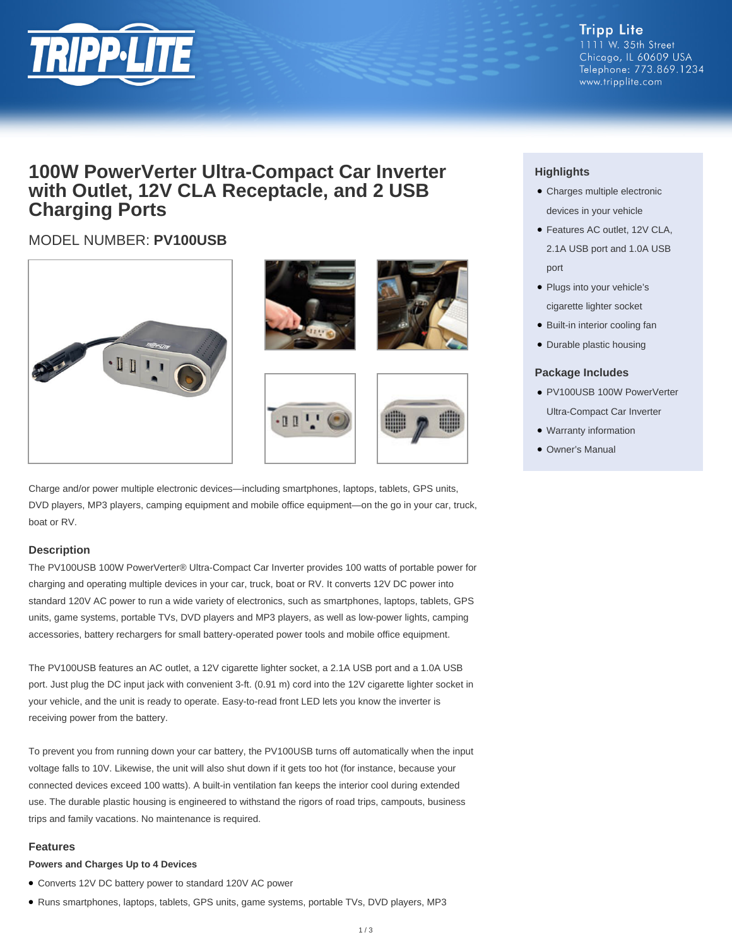

## **100W PowerVerter Ultra-Compact Car Inverter with Outlet, 12V CLA Receptacle, and 2 USB Charging Ports**

### MODEL NUMBER: **PV100USB**



Charge and/or power multiple electronic devices—including smartphones, laptops, tablets, GPS units, DVD players, MP3 players, camping equipment and mobile office equipment—on the go in your car, truck, boat or RV.

#### **Description**

The PV100USB 100W PowerVerter® Ultra-Compact Car Inverter provides 100 watts of portable power for charging and operating multiple devices in your car, truck, boat or RV. It converts 12V DC power into standard 120V AC power to run a wide variety of electronics, such as smartphones, laptops, tablets, GPS units, game systems, portable TVs, DVD players and MP3 players, as well as low-power lights, camping accessories, battery rechargers for small battery-operated power tools and mobile office equipment.

The PV100USB features an AC outlet, a 12V cigarette lighter socket, a 2.1A USB port and a 1.0A USB port. Just plug the DC input jack with convenient 3-ft. (0.91 m) cord into the 12V cigarette lighter socket in your vehicle, and the unit is ready to operate. Easy-to-read front LED lets you know the inverter is receiving power from the battery.

To prevent you from running down your car battery, the PV100USB turns off automatically when the input voltage falls to 10V. Likewise, the unit will also shut down if it gets too hot (for instance, because your connected devices exceed 100 watts). A built-in ventilation fan keeps the interior cool during extended use. The durable plastic housing is engineered to withstand the rigors of road trips, campouts, business trips and family vacations. No maintenance is required.

#### **Features**

#### **Powers and Charges Up to 4 Devices**

- Converts 12V DC battery power to standard 120V AC power
- Runs smartphones, laptops, tablets, GPS units, game systems, portable TVs, DVD players, MP3

### **Highlights**

- Charges multiple electronic devices in your vehicle
- Features AC outlet, 12V CLA, 2.1A USB port and 1.0A USB port
- Plugs into your vehicle's cigarette lighter socket
- Built-in interior cooling fan
- Durable plastic housing

#### **Package Includes**

- PV100USB 100W PowerVerter Ultra-Compact Car Inverter
- Warranty information
- Owner's Manual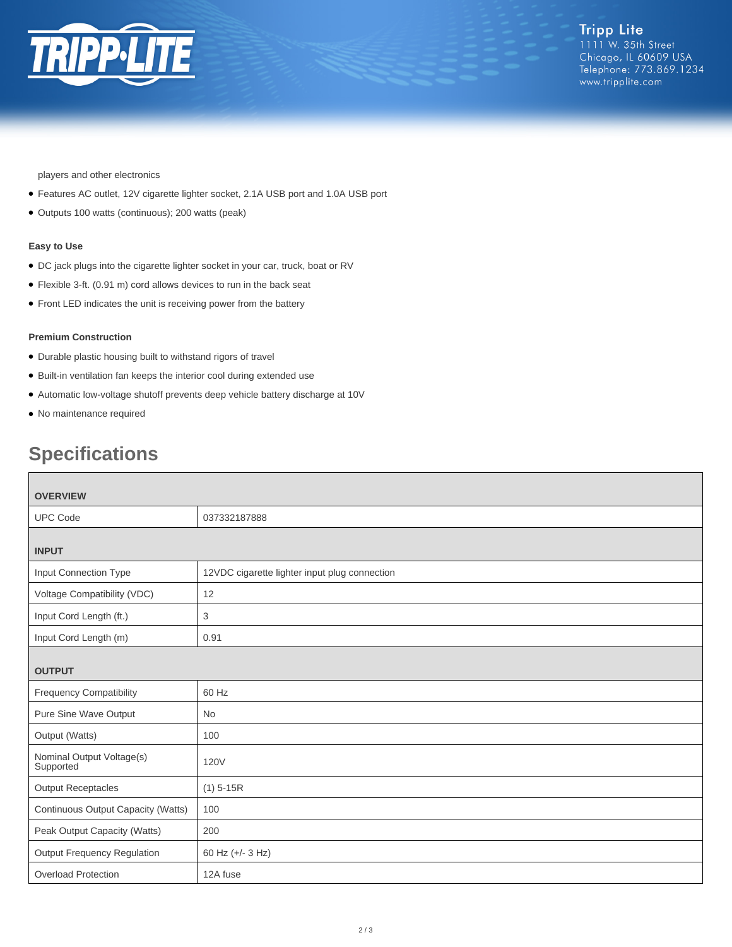

players and other electronics

- Features AC outlet, 12V cigarette lighter socket, 2.1A USB port and 1.0A USB port
- Outputs 100 watts (continuous); 200 watts (peak)

#### **Easy to Use**

- DC jack plugs into the cigarette lighter socket in your car, truck, boat or RV
- Flexible 3-ft. (0.91 m) cord allows devices to run in the back seat
- Front LED indicates the unit is receiving power from the battery

#### **Premium Construction**

- Durable plastic housing built to withstand rigors of travel
- Built-in ventilation fan keeps the interior cool during extended use
- Automatic low-voltage shutoff prevents deep vehicle battery discharge at 10V
- No maintenance required

# **Specifications**

| <b>OVERVIEW</b>                        |                                               |  |
|----------------------------------------|-----------------------------------------------|--|
| <b>UPC Code</b>                        | 037332187888                                  |  |
|                                        |                                               |  |
| <b>INPUT</b>                           |                                               |  |
| Input Connection Type                  | 12VDC cigarette lighter input plug connection |  |
| Voltage Compatibility (VDC)            | 12                                            |  |
| Input Cord Length (ft.)                | 3                                             |  |
| Input Cord Length (m)                  | 0.91                                          |  |
|                                        |                                               |  |
| <b>OUTPUT</b>                          |                                               |  |
| <b>Frequency Compatibility</b>         | 60 Hz                                         |  |
| Pure Sine Wave Output                  | <b>No</b>                                     |  |
| Output (Watts)                         | 100                                           |  |
| Nominal Output Voltage(s)<br>Supported | <b>120V</b>                                   |  |
| <b>Output Receptacles</b>              | $(1)$ 5-15R                                   |  |
| Continuous Output Capacity (Watts)     | 100                                           |  |
| Peak Output Capacity (Watts)           | 200                                           |  |
| <b>Output Frequency Regulation</b>     | 60 Hz (+/- 3 Hz)                              |  |
| <b>Overload Protection</b>             | 12A fuse                                      |  |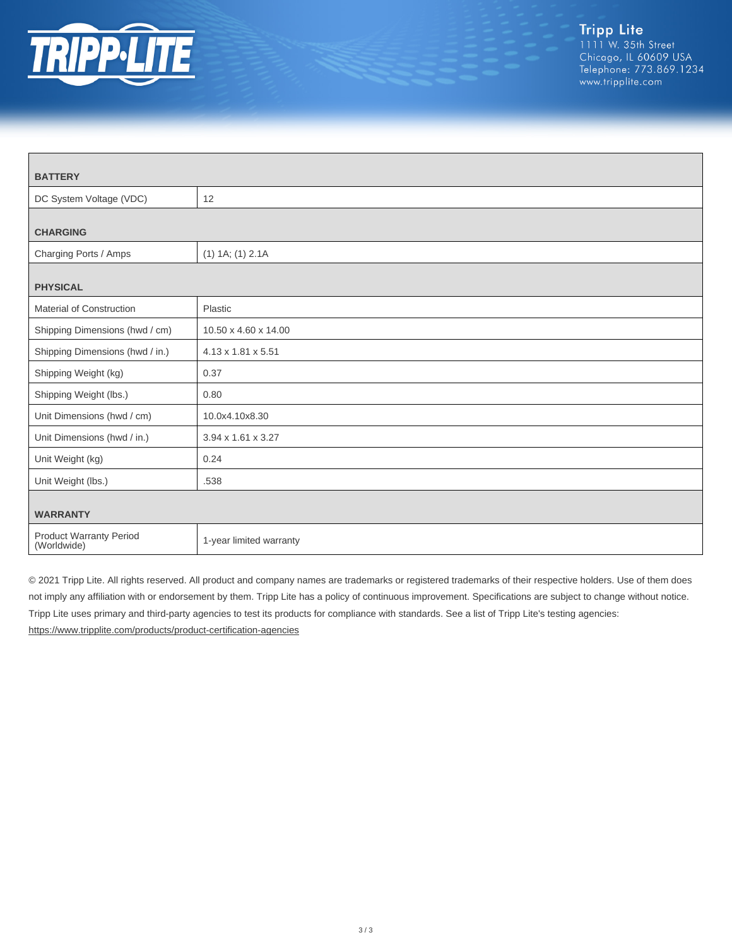

| <b>BATTERY</b>                         |                                |  |
|----------------------------------------|--------------------------------|--|
| DC System Voltage (VDC)                | 12                             |  |
|                                        |                                |  |
| <b>CHARGING</b>                        |                                |  |
| Charging Ports / Amps                  | $(1)$ 1A; $(1)$ 2.1A           |  |
| <b>PHYSICAL</b>                        |                                |  |
|                                        |                                |  |
| Material of Construction               | Plastic                        |  |
| Shipping Dimensions (hwd / cm)         | 10.50 x 4.60 x 14.00           |  |
| Shipping Dimensions (hwd / in.)        | $4.13 \times 1.81 \times 5.51$ |  |
| Shipping Weight (kg)                   | 0.37                           |  |
| Shipping Weight (lbs.)                 | 0.80                           |  |
| Unit Dimensions (hwd / cm)             | 10.0x4.10x8.30                 |  |
| Unit Dimensions (hwd / in.)            | 3.94 x 1.61 x 3.27             |  |
| Unit Weight (kg)                       | 0.24                           |  |
| Unit Weight (lbs.)                     | .538                           |  |
| <b>WARRANTY</b>                        |                                |  |
| Product Warranty Period<br>(Worldwide) | 1-year limited warranty        |  |

© 2021 Tripp Lite. All rights reserved. All product and company names are trademarks or registered trademarks of their respective holders. Use of them does not imply any affiliation with or endorsement by them. Tripp Lite has a policy of continuous improvement. Specifications are subject to change without notice. Tripp Lite uses primary and third-party agencies to test its products for compliance with standards. See a list of Tripp Lite's testing agencies: <https://www.tripplite.com/products/product-certification-agencies>